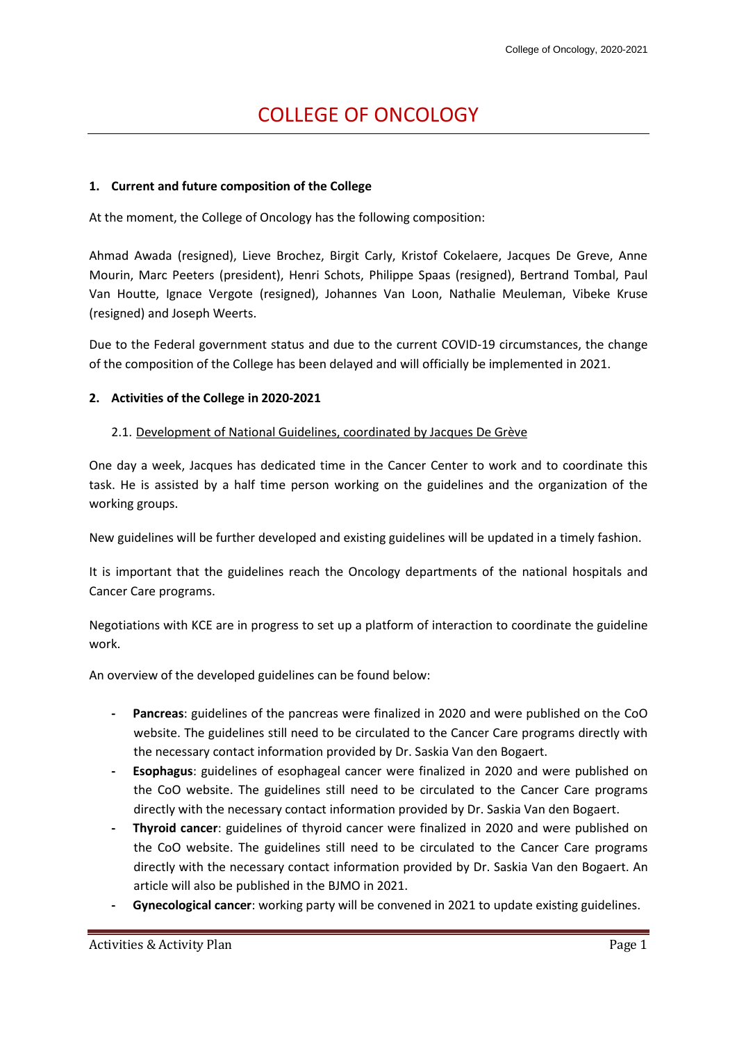# COLLEGE OF ONCOLOGY

## **1. Current and future composition of the College**

At the moment, the College of Oncology has the following composition:

Ahmad Awada (resigned), Lieve Brochez, Birgit Carly, Kristof Cokelaere, Jacques De Greve, Anne Mourin, Marc Peeters (president), Henri Schots, Philippe Spaas (resigned), Bertrand Tombal, Paul Van Houtte, Ignace Vergote (resigned), Johannes Van Loon, Nathalie Meuleman, Vibeke Kruse (resigned) and Joseph Weerts.

Due to the Federal government status and due to the current COVID-19 circumstances, the change of the composition of the College has been delayed and will officially be implemented in 2021.

## **2. Activities of the College in 2020-2021**

## 2.1. Development of National Guidelines, coordinated by Jacques De Grève

One day a week, Jacques has dedicated time in the Cancer Center to work and to coordinate this task. He is assisted by a half time person working on the guidelines and the organization of the working groups.

New guidelines will be further developed and existing guidelines will be updated in a timely fashion.

It is important that the guidelines reach the Oncology departments of the national hospitals and Cancer Care programs.

Negotiations with KCE are in progress to set up a platform of interaction to coordinate the guideline work.

An overview of the developed guidelines can be found below:

- **- Pancreas**: guidelines of the pancreas were finalized in 2020 and were published on the CoO website. The guidelines still need to be circulated to the Cancer Care programs directly with the necessary contact information provided by Dr. Saskia Van den Bogaert.
- **- Esophagus**: guidelines of esophageal cancer were finalized in 2020 and were published on the CoO website. The guidelines still need to be circulated to the Cancer Care programs directly with the necessary contact information provided by Dr. Saskia Van den Bogaert.
- **- Thyroid cancer**: guidelines of thyroid cancer were finalized in 2020 and were published on the CoO website. The guidelines still need to be circulated to the Cancer Care programs directly with the necessary contact information provided by Dr. Saskia Van den Bogaert. An article will also be published in the BJMO in 2021.
- **- Gynecological cancer**: working party will be convened in 2021 to update existing guidelines.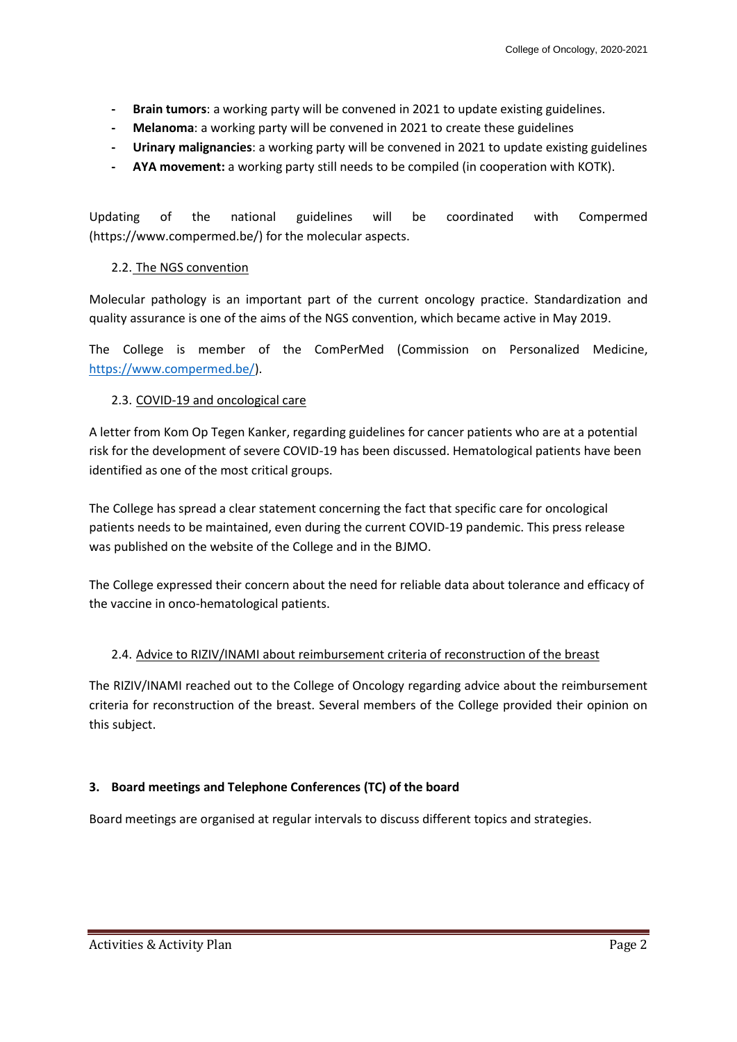- **- Brain tumors**: a working party will be convened in 2021 to update existing guidelines.
- **- Melanoma**: a working party will be convened in 2021 to create these guidelines
- **- Urinary malignancies**: a working party will be convened in 2021 to update existing guidelines
- **- AYA movement:** a working party still needs to be compiled (in cooperation with KOTK).

Updating of the national guidelines will be coordinated with Compermed (https://www.compermed.be/) for the molecular aspects.

# 2.2. The NGS convention

Molecular pathology is an important part of the current oncology practice. Standardization and quality assurance is one of the aims of the NGS convention, which became active in May 2019.

The College is member of the ComPerMed (Commission on Personalized Medicine, [https://www.compermed.be/\)](https://www.compermed.be/).

# 2.3. COVID-19 and oncological care

A letter from Kom Op Tegen Kanker, regarding guidelines for cancer patients who are at a potential risk for the development of severe COVID-19 has been discussed. Hematological patients have been identified as one of the most critical groups.

The College has spread a clear statement concerning the fact that specific care for oncological patients needs to be maintained, even during the current COVID-19 pandemic. This press release was published on the website of the College and in the BJMO.

The College expressed their concern about the need for reliable data about tolerance and efficacy of the vaccine in onco-hematological patients.

# 2.4. Advice to RIZIV/INAMI about reimbursement criteria of reconstruction of the breast

The RIZIV/INAMI reached out to the College of Oncology regarding advice about the reimbursement criteria for reconstruction of the breast. Several members of the College provided their opinion on this subject.

# **3. Board meetings and Telephone Conferences (TC) of the board**

Board meetings are organised at regular intervals to discuss different topics and strategies.